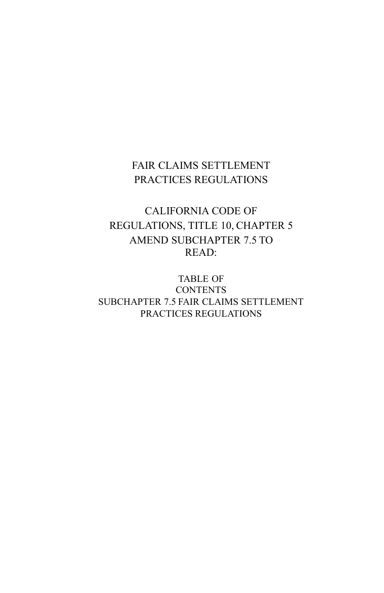## FAIR CLAIMS SETTLEMENT PRACTICES REGULATIONS

# CALIFORNIA CODE OF REGULATIONS, TITLE 10, CHAPTER 5 AMEND SUBCHAPTER 7.5 TO READ:

TABLE OF **CONTENTS** SUBCHAPTER 7.5 FAIR CLAIMS SETTLEMENT PRACTICES REGULATIONS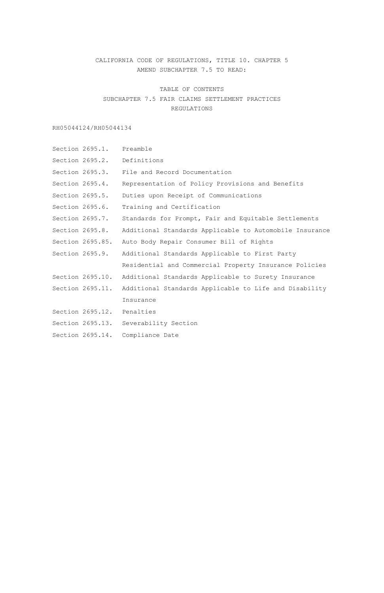## CALIFORNIA CODE OF REGULATIONS, TITLE 10. CHAPTER 5 AMEND SUBCHAPTER 7.5 TO READ:

TABLE OF CONTENTS SUBCHAPTER 7.5 FAIR CLAIMS SETTLEMENT PRACTICES REGULATIONS

RH05044124/RH05044134

```
Section 2695.1. Preamble
Section 2695.2. Definitions
Section 2695.3. File and Record Documentation
Section 2695.4. Representation of Policy Provisions and Benefits
Section 2695.5. Duties upon Receipt of Communications
Section 2695.6. Training and Certification
Section 2695.7. Standards for Prompt, Fair and Equitable Settlements 
Section 2695.8. Additional Standards Applicable to Automobile Insurance 
Section 2695.85. Auto Body Repair Consumer Bill of Rights
Section 2695.9. Additional Standards Applicable to First Party 
                 Residential and Commercial Property Insurance Policies
Section 2695.10. Additional Standards Applicable to Surety Insurance
Section 2695.11. Additional Standards Applicable to Life and Disability
                 Insurance
Section 2695.12. Penalties 
Section 2695.13. Severability Section 
Section 2695.14. Compliance Date
```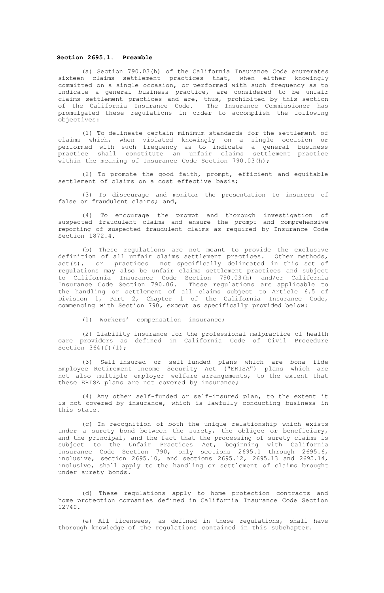## **Section 2695.1. Preamble**

(a) Section 790.03(h) of the California Insurance Code enumerates sixteen claims settlement practices that, when either knowingly committed on a single occasion, or performed with such frequency as to indicate a general business practice, are considered to be unfair claims settlement practices and are, thus, prohibited by this section of the California Insurance Code. The Insurance Commissioner has promulgated these regulations in order to accomplish the following objectives:

(1) To delineate certain minimum standards for the settlement of claims which, when violated knowingly on a single occasion or performed with such frequency as to indicate a general business practice shall constitute an unfair claims settlement practice within the meaning of Insurance Code Section 790.03(h);

(2) To promote the good faith, prompt, efficient and equitable settlement of claims on a cost effective basis;

(3) To discourage and monitor the presentation to insurers of false or fraudulent claims; and,

(4) To encourage the prompt and thorough investigation of suspected fraudulent claims and ensure the prompt and comprehensive reporting of suspected fraudulent claims as required by Insurance Code Section 1872.4.

(b) These regulations are not meant to provide the exclusive definition of all unfair claims settlement practices**.** Other methods, act(s), or practices not specifically delineated in this set of regulations may also be unfair claims settlement practices and subject to California Insurance Code Section 790.03(h) and/or California Insurance Code Section 790.06. These regulations are applicable to the handling or settlement of all claims subject to Article 6.5 of Division 1, Part 2, Chapter 1 of the California Insurance Code, commencing with Section 790**,** except as specifically provided below:

(1) Workers' compensation insurance;

(2) Liability insurance for the professional malpractice of health care providers as defined in California Code of Civil Procedure Section  $364(f)(1);$ 

(3) Self-insured or self-funded plans which are bona fide Employee Retirement Income Security Act ("ERISA") plans which are not also multiple employer welfare arrangements, to the extent that these ERISA plans are not covered by insurance;

(4) Any other self-funded or self-insured plan, to the extent it is not covered by insurance, which is lawfully conducting business in this state.

(c) In recognition of both the unique relationship which exists under a surety bond between the surety, the obligee or beneficiary, and the principal, and the fact that the processing of surety claims is subject to the Unfair Practices Act, beginning with California<br>Insurance Code Section 790, only sections 2695.1 through 2695.6,<br>inclusive, section 2695.10, and sections 2695.12, 2695.13 and 2695.14,<br>inclusive, shall apply under surety bonds**.**

(d) These regulations apply to home protection contracts and home protection companies defined in California Insurance Code Section 12740.

(e) All licensees, as defined in these regulations, shall have thorough knowledge of the regulations contained in this subchapter.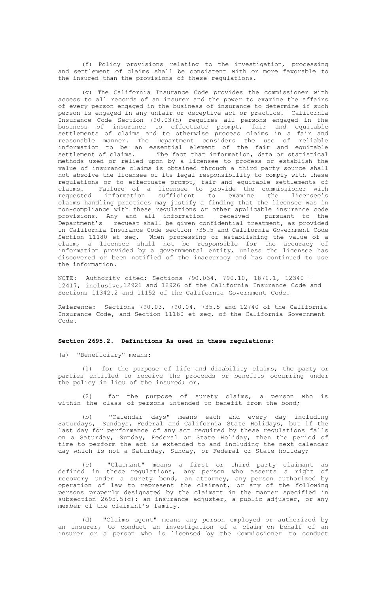(f) Policy provisions relating to the investigation, processing and settlement of claims shall be consistent with or more favorable to the insured than the provisions of these regulations**.**

(g) The California Insurance Code provides the commissioner with access to all records of an insurer and the power to examine the affairs of every person engaged in the business of insurance to determine if such person is engaged in any unfair or deceptive act or practice. California Insurance Code Section 790.03(h) requires all persons engaged in the business of insurance to effectuate prompt, fair and equitable settlements of claims and to otherwise process claims in a fair and reasonable manner. The Department considers the use of reliable information to be an essential element of the fair and equitable settlement of claims. The fact that information, data or statistical The fact that information, data or statistical methods used or relied upon by a licensee to process or establish the value of insurance claims is obtained through a third party source shall not absolve the licensee of its legal responsibility to comply with these regulations or to effectuate prompt, fair and equitable settlements of claims. Failure of a licensee to provide the commissioner with<br>requested information sufficient to examine the licensee's information sufficient to examine the licensee's claims handling practices may justify a finding that the licensee was in non-compliance with these regulations or other applicable insurance code provisions. Any and all information Department's request shall be given confidential treatment, as provided in California Insurance Code section 735.5 and California Government Code Section 11180 et seq. When processing or establishing the value of a claim, a licensee shall not be responsible for the accuracy of information provided by a governmental entity, unless the licensee has discovered or been notified of the inaccuracy and has continued to use the information.

NOTE: Authority cited: Sections 790.034, 790.10, 1871.1, 12340 - 12417, inclusive,12921 and 12926 of the California Insurance Code and Sections 11342.2 and 11152 of the California Government Code.

Reference: Sections 790.03, 790.04, 735.5 and 12740 of the California Insurance Code, and Section 11180 et seq. of the California Government Code.

## **Section 2695.2. Definitions As used in these regulations:**

(a) "Beneficiary" means:

(1) for the purpose of life and disability claims, the party or parties entitled to receive the proceeds or benefits occurring under the policy in lieu of the insured; or,

(2) for the purpose of surety claims, a person who is within the class of persons intended to benefit from the bond;

(b) "Calendar days" means each and every day including Saturdays, Sundays, Federal and California State Holidays, but if the last day for performance of any act required by these regulations falls on a Saturday, Sunday, Federal or State Holiday, then the period of time to perform the act is extended to and including the next calendar day which is not a Saturday, Sunday, or Federal or State holiday;

(c) "Claimant" means a first or third party claimant as defined in these regulations, any person who asserts a right of recovery under a surety bond, an attorney, any person authorized by operation of law to represent the claimant, or any of the following persons properly designated by the claimant in the manner specified in subsection 2695.5(c): an insurance adjuster, a public adjuster, or any member of the claimant's family.

(d) "Claims agent" means any person employed or authorized by an insurer, to conduct an investigation of a claim on behalf of an insurer or a person who is licensed by the Commissioner to conduct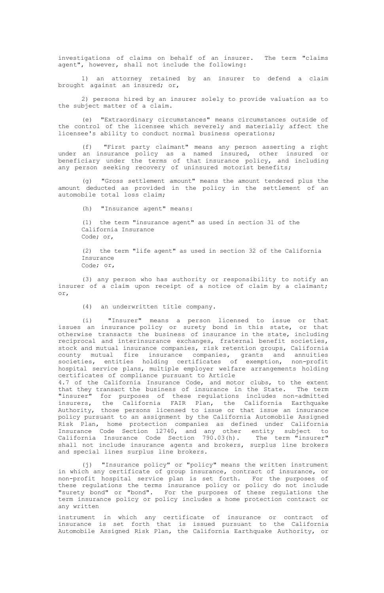investigations of claims on behalf of an insurer. The term "claims agent", however, shall not include the following:

1) an attorney retained by an insurer to defend a claim brought against an insured; or,

2) persons hired by an insurer solely to provide valuation as to the subject matter of a claim.

(e) "Extraordinary circumstances" means circumstances outside of the control of the licensee which severely and materially affect the licensee's ability to conduct normal business operations;

(f) "First party claimant" means any person asserting a right under an insurance policy as a named insured, other insured or beneficiary under the terms of that insurance policy, and including any person seeking recovery of uninsured motorist benefits;

(g) "Gross settlement amount" means the amount tendered plus the amount deducted as provided in the policy in the settlement of an automobile total loss claim;

(h) "Insurance agent" means:

(1) the term "insurance agent" as used in section 31 of the California Insurance Code; or,

(2) the term "life agent" as used in section 32 of the California Insurance Code; or,

(3) any person who has authority or responsibility to notify an insurer of a claim upon receipt of a notice of claim by a claimant; or,

(4) an underwritten title company.

(i) "Insurer" means a person licensed to issue or that issues an insurance policy or surety bond in this state, or that otherwise transacts the business of insurance in the state, including reciprocal and interinsurance exchanges, fraternal benefit societies, stock and mutual insurance companies, risk retention groups, California county mutual fire insurance companies, grants and annuities societies, entities holding certificates of exemption, non-profit hospital service plans, multiple employer welfare arrangements holding certificates of compliance pursuant to Article

4.7 of the California Insurance Code, and motor clubs, to the extent that they transact the business of insurance in the State. The term **"**insurer" for purposes of these regulations includes non-admitted<br>insurers, the California FAIR Plan, the California Earthquake<br>Authority, those persons licensed to issue or that issue an insurance policy pursuant to an assignment by the California Automobile Assigned Risk Plan, home protection companies as defined under California Insurance Code Section 12740, and any other entity subject to California Insurance Code Section 790.03(h). The term "insurer" shall not include insurance agents and brokers, surplus line brokers and special lines surplus line brokers.

(j) "Insurance policy" or "policy" means the written instrument in which any certificate of group insurance, contract of insurance, or<br>non-profit hospital service plan is set forth. For the purposes of<br>these regulations the terms insurance policy or policy do not include<br>"surety bond" term insurance policy or policy includes a home protection contract or any written

instrument in which any certificate of insurance or contract of insurance is set forth that is issued pursuant to the California Automobile Assigned Risk Plan, the California Earthquake Authority, or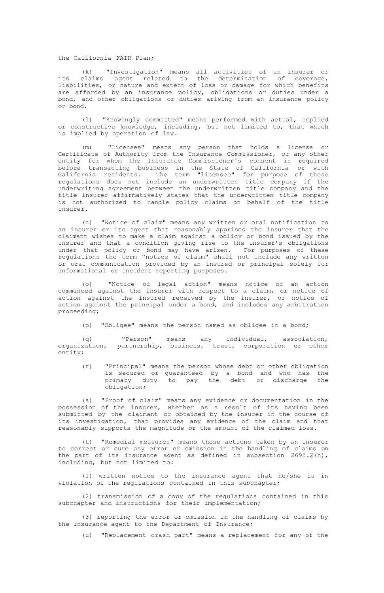the California FAIR Plan;

(k) "Investigation" means all activities of an insurer or its claims agent related to the determination of coverage, liabilities, or nature and extent of loss or damage for which benefits are afforded by an insurance policy, obligations or duties under a bond, and other obligations or duties arising from an insurance policy or bond.

(l) "Knowingly committed" means performed with actual, implied or constructive knowledge, including, but not limited to, that which is implied by operation of law.

(m) "Licensee" means any person that holds a license or Certificate of Authority from the Insurance Commissioner, or any other entity for whom the Insurance Commissioner's consent is required<br>before transacting business in the State of California or with<br>California residents. The term "licensee" for purpose of these<br>regulations does not include an underwriting agreement between the underwritten title company and the title insurer affirmatively states that the underwritten title company is not authorized to handle policy claims on behalf of the title insurer.

(n) "Notice of claim" means any written or oral notification to an insurer or its agent that reasonably apprises the insurer that the claimant wishes to make a claim against a policy or bond issued by the insurer and that a condition giving rise to the insurer's obligations under that policy or bond may have arisen. For purposes of these regulations the term "notice of claim" shall not include any written or oral communication provided by an insured or principal solely for informational or incident reporting purposes.

"Notice of legal action" means notice of an action commenced against the insurer with respect to a claim, or notice of action against the insured received by the insurer, or notice of action against the principal under a bond, and includes any arbitration proceeding;

(p) "Obligee" means the person named as obligee in a bond;

(q) "Person" means any individual, association, organization, partnership, business, trust, corporation or other entity;

(r) "Principal" means the person whose debt or other obligation is secured or guaranteed by a bond and who has the primary duty to pay the debt or discharge the obligation;

(s) "Proof of claim" means any evidence or documentation in the possession of the insurer, whether as a result of its having been submitted by the claimant or obtained by the insurer in the course of its investigation, that provides any evidence of the claim and that reasonably supports the magnitude or the amount of the claimed loss.

(t) "Remedial measures" means those actions taken by an insurer to correct or cure any error or omission in the handling of claims on the part of its insurance agent as defined in subsection  $2695.2(h)$ , including, but not limited to:

(1) written notice to the insurance agent that he/she is in violation of the regulations contained in this subchapter;

(2) transmission of a copy of the regulations contained in this subchapter and instructions for their implementation;

(3) reporting the error or omission in the handling of claims by the insurance agent to the Department of Insurance;

(u) "Replacement crash part" means a replacement for any of the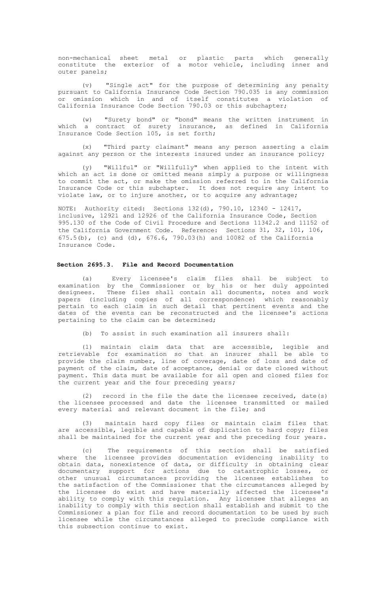non-mechanical sheet metal or plastic parts which generally constitute the exterior of a motor vehicle, including inner and outer panels;

(v) "Single act" for the purpose of determining any penalty pursuant to California Insurance Code Section 790.035 is any commission or omission which in and of itself constitutes a violation of California Insurance Code Section 790.03 or this subchapter;

(w) "Surety bond" or "bond" means the written instrument in which a contract of surety insurance, as defined in California Insurance Code Section 105, is set forth;

(x) "Third party claimant" means any person asserting a claim against any person or the interests insured under an insurance policy;

(y) "Willful" or "Willfully" when applied to the intent with which an act is done or omitted means simply a purpose or willingness to commit the act, or make the omission referred to in the California Insurance Code or this subchapter. It does not require any intent to violate law, or to injure another, or to acquire any advantage;

NOTE: Authority cited: Sections 132(d), 790.10, 12340 - 12417, inclusive, 12921 and 12926 of the California Insurance Code**,** Section 995.130 of the Code of Civil Procedure and Sections 11342.2 and 11152 of the California Government Code. Reference: Sections 31, 32, 101, 106, 675.5(b), (c) and (d), 676.6, 790.03(h) and 10082 of the California Insurance Code.

## **Section 2695.3. File and Record Documentation**

Every licensee's claim files shall be subject to examination by the Commissioner or by his or her duly appointed designees. These files shall contain all documents, notes and work papers (including copies of all correspondence) which reasonably pertain to each claim in such detail that pertinent events and the dates of the events can be reconstructed and the licensee's actions pertaining to the claim can be determined;

(b) To assist in such examination all insurers shall:

(1) maintain claim data that are accessible, legible and retrievable for examination so that an insurer shall be able to provide the claim number, line of coverage, date of loss and date of payment of the claim, date of acceptance, denial or date closed without payment**.** This data must be available for all open and closed files for the current year and the four preceding years**;**

(2) record in the file the date the licensee received, date(s) the licensee processed and date the licensee transmitted or mailed every material and relevant document in the file; and

(3) maintain hard copy files or maintain claim files that are accessible, legible and capable of duplication to hard copy; files shall be maintained for the current year and the preceding four years.

(c) The requirements of this section shall be satisfied where the licensee provides documentation evidencing inability to obtain data, nonexistence of data, or difficulty in obtaining clear<br>documentary support for actions due to catastrophic losses, or<br>other unusual circumstances providing the licensee establishes to<br>the satisfaction of the C the licensee do exist and have materially affected the licensee's ability to comply with this regulation. Any licensee that alleges an inability to comply with this section shall establish and submit to the Commissioner a plan for file and record documentation to be used by such licensee while the circumstances alleged to preclude compliance with this subsection continue to exist.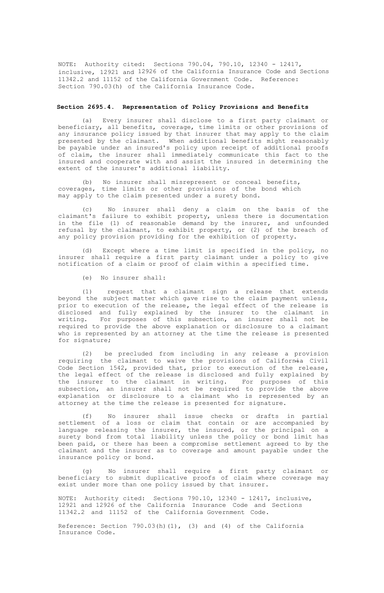NOTE: Authority cited: Sections 790.04, 790.10, 12340 - 12417, inclusive, 12921 and 12926 of the California Insurance Code and Sections 11342.2 and 11152 of the California Government Code. Reference: Section 790.03(h) of the California Insurance Code.

## **Section 2695.4. Representation of Policy Provisions and Benefits**

(a) Every insurer shall disclose to a first party claimant or beneficiary, all benefits, coverage, time limits or other provisions of any insurance policy issued by that insurer that may apply to the claim presented by the claimant. When additional benefits might reasonably be payable under an insured's policy upon receipt of additional proofs of claim, the insurer shall immediately communicate this fact to the insured and cooperate with and assist the insured in determining the extent of the insurer's additional liability.

(b) No insurer shall misrepresent or conceal benefits, coverages, time limits or other provisions of the bond which may apply to the claim presented under a surety bond.

(c) No insurer shall deny a claim on the basis of the claimant's failure to exhibit property, unless there is documentation in the file (1) of reasonable demand by the insurer, and unfounded refusal by the claimant, to exhibit property, or (2) of the breach of any policy provision providing for the exhibition of property.

(d) Except where a time limit is specified in the policy, no insurer shall require a first party claimant under a policy to give notification of a claim or proof of claim within a specified time.

(e) No insurer shall:

(1) request that a claimant sign a release that extends beyond the subject matter which gave rise to the claim payment unless, prior to execution of the release**,** the legal effect of the release is disclosed and fully explained by the insurer to the claimant in writing. For purposes of this subsection, an insurer shall not be required to provide the above explanation or disclosure to a claimant who is represented by an attorney at the time the release is presented for signature;

(2) be precluded from including in any release a provision requiring the claimant to waive the provisions of California Civil Code Section 1542, provided that**,** prior to execution of the release**,** the legal effect of the release is disclosed and fully explained by the insurer to the claimant in writing. For purposes of this subsection, an insurer shall not be required to provide the above explanation or disclosure to a claimant who is represented by an attorney at the time the release is presented for signature.

(f) No insurer shall issue checks or drafts in partial<br>settlement of a loss or claim that contain or are accompanied by<br>language releasing the insurer, the insured, or the principal on a<br>surety bond from total liability un been paid, or there has been a compromise settlement agreed to by the claimant and the insurer as to coverage and amount payable under the insurance policy or bond.

(g) No insurer shall require a first party claimant or beneficiary to submit duplicative proofs of claim where coverage may exist under more than one policy issued by that insurer.

NOTE: Authority cited: Sections 790.10, 12340 - 12417, inclusive, 12921 and 12926 of the California Insurance Code and Sections 11342.2 and 11152 of the California Government Code.

Reference: Section 790.03(h)(1), (3) and (4) of the California Insurance Code.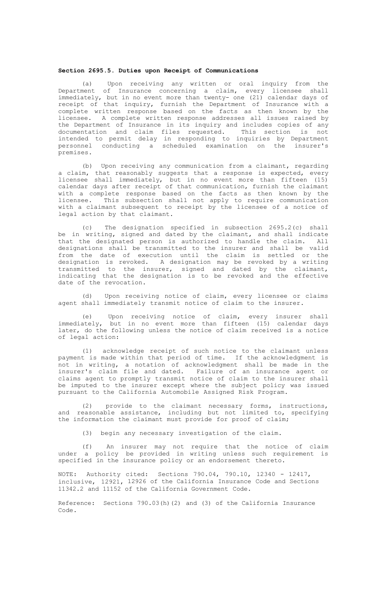#### **Section 2695.5. Duties upon Receipt of Communications**

(a) Upon receiving any written or oral inquiry from the Department of Insurance concerning a claim, every licensee shall immediately, but in no event more than twenty- one (21) calendar days of receipt of that inquiry, furnish the Department of Insurance with a complete written response based on the facts as then known by the licensee. A complete written response addresses all issues raised by the Department of Insurance in its inquiry and includes copies of any documentation and claim files requested. This section is not intended to permit delay in responding to inquiries by Department personnel conducting a scheduled examination on the insurer's premises.

(b) Upon receiving any communication from a claimant, regarding a claim, that reasonably suggests that a response is expected, every licensee shall immediately, but in no event more than fifteen (15) calendar days after receipt of that communication, furnish the claimant with a complete response based on the facts as then known by the licensee. This subsection shall not apply to require communication with a claimant subsequent to receipt by the licensee of a notice of legal action by that claimant.

(c) The designation specified in subsection 2695.2(c) shall be in writing, signed and dated by the claimant, and shall indicate that the designated person is authorized to handle the claim. All designations shall be transmitted to the insurer and shall be valid from the date of execution until the claim is settled or the designation is revoked. A designation may be revoked by a writing transmitted to the insurer, signed and dated by the claimant, indicating that the designation is to be revoked and the effective date of the revocation.

(d) Upon receiving notice of claim, every licensee or claims agent shall immediately transmit notice of claim to the insurer.

(e) Upon receiving notice of claim, every insurer shall immediately, but in no event more than fifteen (15) calendar days later, do the following unless the notice of claim received is a notice of legal action:

(1) acknowledge receipt of such notice to the claimant unless payment is made within that period of time. If the acknowledgment is not in writing, a notation of acknowledgment shall be made in the insurer's claim file and dated. Failure of an insurance agent or claims agent to promptly transmit notice of claim to the insurer shall be imputed to the insurer except where the subject policy was issued pursuant to the California Automobile Assigned Risk Program.

(2) provide to the claimant necessary forms, instructions, and reasonable assistance, including but not limited to, specifying the information the claimant must provide for proof of claim;

(3) begin any necessary investigation of the claim.

(f) An insurer may not require that the notice of claim under a policy be provided in writing unless such requirement is specified in the insurance policy or an endorsement thereto.

NOTE: Authority cited: Sections 790.04, 790.10, 12340 - 12417, inclusive, 12921, 12926 of the California Insurance Code and Sections 11342.2 and 11152 of the California Government Code.

Reference: Sections 790.03(h)(2) and (3) of the California Insurance Code.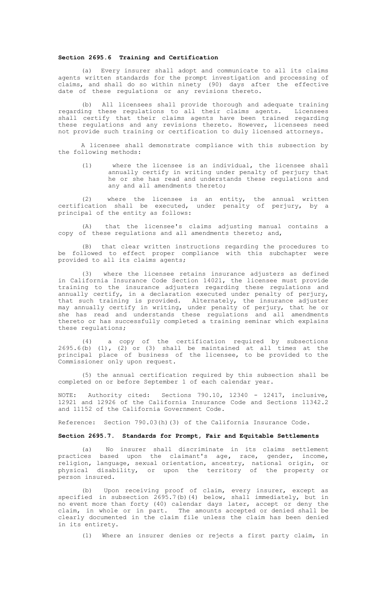## **Section 2695.6 Training and Certification**

(a) Every insurer shall adopt and communicate to all its claims agents written standards for the prompt investigation and processing of claims, and shall do so within ninety (90) days after the effective date of these regulations or any revisions thereto.

(b) All licensees shall provide thorough and adequate training regarding these regulations to all their claims agents. Licensees shall certify that their claims agents have been trained regarding these regulations and any revisions thereto. However, licensees need not provide such training or certification to duly licensed attorneys.

A licensee shall demonstrate compliance with this subsection by the following methods:

(1) where the licensee is an individual, the licensee shall annually certify in writing under penalty of perjury that he or she has read and understands these regulations and any and all amendments thereto;

(2) where the licensee is an entity, the annual written certification shall be executed, under penalty of perjury, by a principal of the entity as follows:

(A) that the licensee's claims adjusting manual contains a copy of these regulations and all amendments thereto; and,

(B) that clear written instructions regarding the procedures to be followed to effect proper compliance with this subchapter were provided to all its claims agents;

(3) where the licensee retains insurance adjusters as defined in California Insurance Code Section 14021, the licensee must provide training to the insurance adjusters regarding these regulations and annually certify, in a declaration executed under penalty of perjury, that such training is provided. Alternately, the insurance adjuster<br>may annually certify in writing, under penalty of perjury, that he or<br>she has read and understands these regulations and all amendments thereto or has successfully completed a training seminar which explains these regulations;

(4) a copy of the certification required by subsections 2695.6(b) (1), (2) or (3) shall be maintained at all times at the principal place of business of the licensee, to be provided to the Commissioner only upon request.

(5) the annual certification required by this subsection shall be completed on or before September 1 of each calendar year.

NOTE: Authority cited: Sections 790.10, 12340 - 12417, inclusive, 12921 and 12926 of the California Insurance Code and Sections 11342.2 and 11152 of the California Government Code.

Reference: Section 790.03(h)(3) of the California Insurance Code.

#### **Section 2695.7. Standards for Prompt, Fair and Equitable Settlements**

(a) No insurer shall discriminate in its claims settlement practices based upon the claimant's age**,** race, gender, income, religion, language, sexual orientation, ancestry, national origin, or physical disability, or upon the territory of the property or person insured.

(b) Upon receiving proof of claim, every insurer, except as specified in subsection 2695.7(b)(4) below, shall immediately, but in no event more than forty (40) calendar days later, accept or deny the claim, in whole or in part. The amounts accepted or denied shall be clearly documented in the claim file unless the claim has been denied in its entirety.

Where an insurer denies or rejects a first party claim, in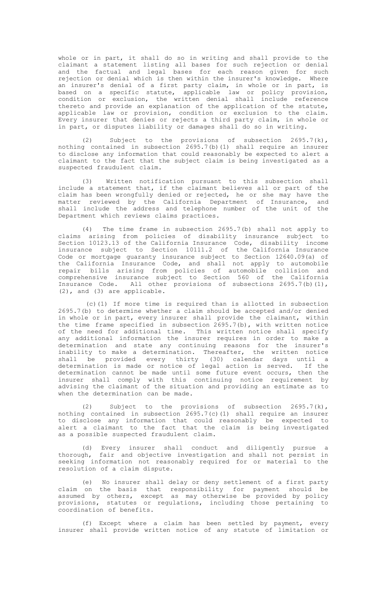whole or in part, it shall do so in writing and shall provide to the claimant a statement listing all bases for such rejection or denial<br>and the factual and legal bases for each reason given for such<br>rejection or denial which is then within the insurer's knowledge. Where an insurer's denial of a first party claim, in whole or in part, is based on a specific statute, applicable law or policy provision, condition or exclusion, the written denial shall include reference thereto and provide an explanation of the application of the statute, applicable law or provision, condition or exclusion to the claim. Every insurer that denies or rejects a third party claim, in whole or in part, or disputes liability or damages shall do so in writing.

(2) Subject to the provisions of subsection 2695.7(k), nothing contained in subsection 2695.7(b)(1) shall require an insurer to disclose any information that could reasonably be expected to alert a claimant to the fact that the subject claim is being investigated as a suspected fraudulent claim.

(3) Written notification pursuant to this subsection shall include a statement that, if the claimant believes all or part of the claim has been wrongfully denied or rejected, he or she may have the matter reviewed by the California Department of Insurance, and shall include the address and telephone number of the unit of the Department which reviews claims practices.

(4) The time frame in subsection 2695.7(b) shall not apply to claims arising from policies of disability insurance subject to Section 10123.13 of the California Insurance Code, disability income insurance subject to Section 10111.2 of the California Insurance Code or mortgage guaranty insurance subject to Section 12640.09(a) of the California Insurance Code, and shall not apply to automobile repair bills arising from policies of automobile collision and comprehensive insurance subject to Section 560 of the California Insurance Code. All other provisions of subsections 2695.7(b)(1), (2), and (3) are applicable.

(c)(1) If more time is required than is allotted in subsection 2695.7(b) to determine whether a claim should be accepted and/or denied in whole or in part, every insurer shall provide the claimant, within the time frame specified in subsection 2695.7(b), with written notice of the need for additional time. This written notice shall specify any additional information the insurer requires in order to make a determination and state any continuing reasons for the insurer's inability to make a determination. Thereafter, the written notice shall be provided every thirty (30) calendar days until a determination is made or notice of legal action is served. If the determination cannot be made until some future event occurs, then the insurer shall comply with this continuing notice requirement by advising the claimant of the situation and providing an estimate as to when the determination can be made.

(2) Subject to the provisions of subsection 2695.7(k), nothing contained in subsection 2695.7(c)(1) shall require an insurer to disclose any information that could reasonably be expected to alert a claimant to the fact that the claim is being investigated as a possible suspected fraudulent claim.

(d) Every insurer shall conduct and diligently pursue a thorough, fair and objective investigation and shall not persist in seeking information not reasonably required for or material to the resolution of a claim dispute.

No insurer shall delay or deny settlement of a first party claim on the basis that responsibility for payment should be assumed by others, except as may otherwise be provided by policy provisions, statutes or regulations, including those pertaining to coordination of benefits.

(f) Except where a claim has been settled by payment, every insurer shall provide written notice of any statute of limitation or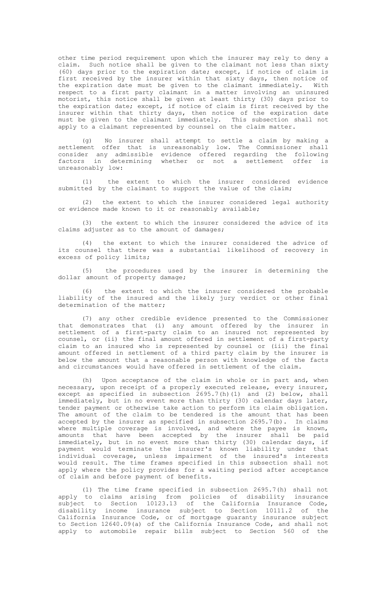other time period requirement upon which the insurer may rely to deny a claim. Such notice shall be given to the claimant not less than sixty (60) days prior to the expiration date; except, if notice of claim is first received by the insurer within that sixty days, then notice of the expiration date must be given to the claimant immediately. With respect to a first party claimant in a matter involving an uninsured motorist, this notice shall be given at least thirty (30) days prior to the expiration date; except, if notice of claim is first received by the insurer within that thirty days, then notice of the expiration date must be given to the claimant immediately. This subsection shall not apply to a claimant represented by counsel on the claim matter.

(g) No insurer shall attempt to settle a claim by making a settlement offer that is unreasonably low. The Commissioner shall consider any admissible evidence offered regarding the following factors in determining whether or not a settlement offer is unreasonably low:

(1) the extent to which the insurer considered evidence submitted by the claimant to support the value of the claim;

(2) the extent to which the insurer considered legal authority or evidence made known to it or reasonably available;

(3) the extent to which the insurer considered the advice of its claims adjuster as to the amount of damages;

(4) the extent to which the insurer considered the advice of its counsel that there was a substantial likelihood of recovery in excess of policy limits;

(5) the procedures used by the insurer in determining the dollar amount of property damage;

(6) the extent to which the insurer considered the probable liability of the insured and the likely jury verdict or other final determination of the matter;

(7) any other credible evidence presented to the Commissioner that demonstrates that (i) any amount offered by the insurer in settlement of a first-party claim to an insured not represented by counsel, or (ii) the final amount offered in settlement of a first-party claim to an insured who is represented by counsel or (iii) the final amount offered in settlement of a third party claim by the insurer is below the amount that a reasonable person with knowledge of the facts and circumstances would have offered in settlement of the claim.

(h) Upon acceptance of the claim in whole or in part and, when necessary, upon receipt of a properly executed release, every insurer, except as specified in subsection 2695.7(h)(1) and (2) below, shall immediately, but in no event more than thirty (30) calendar days later, tender payment or otherwise take action to perform its claim obligation. The amount of the claim to be tendered is the amount that has been accepted by the insurer as specified in subsection 2695.7(b). In claims where multiple coverage is involved, and where the payee is known, amounts that have been accepted by the insurer shall be paid immediately, but in no event more than thirty (30) calendar days, if payment would terminate the insurer's known liability under that individual coverage, unless impairment of the insured's interests would result. The time frames specified in this subsection shall not apply where the policy provides for a waiting period after acceptance of claim and before payment of benefits.

(1) The time frame specified in subsection 2695.7(h) shall not apply to claims arising from policies of disability insurance subject to Section 10123.13 of the California Insurance Code, disability income insurance subject to Section 10111.2 of the California Insurance Code, or of mortgage guaranty insurance subject to Section 12640.09(a) of the California Insurance Code, and shall not apply to automobile repair bills subject to Section 560 of the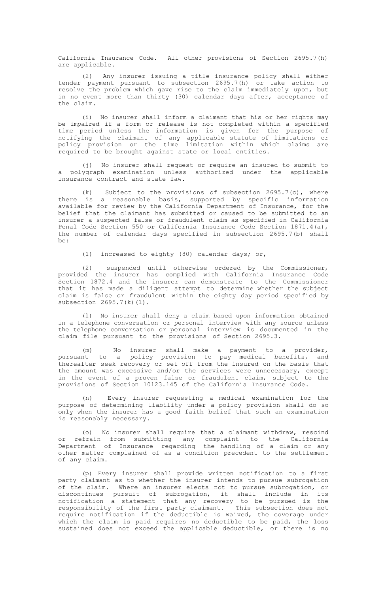California Insurance Code. All other provisions of Section 2695.7(h) are applicable.

(2) Any insurer issuing a title insurance policy shall either tender payment pursuant to subsection 2695.7(h) or take action to resolve the problem which gave rise to the claim immediately upon, but in no event more than thirty (30) calendar days after, acceptance of the claim.

(i) No insurer shall inform a claimant that his or her rights may be impaired if a form or release is not completed within a specified time period unless the information is given for the purpose of notifying the claimant of any applicable statute of limitations or policy provision or the time limitation within which claims are required to be brought against state or local entities.

(j) No insurer shall request or require an insured to submit to a polygraph examination unless authorized under the applicable insurance contract and state law.

(k) Subject to the provisions of subsection 2695.7(c), where there is a reasonable basis, supported by specific information available for review by the California Department of Insurance, for the belief that the claimant has submitted or caused to be submitted to an insurer a suspected false or fraudulent claim as specified in California Penal Code Section 550 or California Insurance Code Section 1871.4(a), the number of calendar days specified in subsection 2695.7(b) shall be:

(1) increased to eighty (80) calendar days; or,

(2) suspended until otherwise ordered by the Commissioner, provided the insurer has complied with California Insurance Code Section 1872.4 and the insurer can demonstrate to the Commissioner that it has made a diligent attempt to determine whether the subject claim is false or fraudulent within the eighty day period specified by subsection 2695.7(k)(1).

(l) No insurer shall deny a claim based upon information obtained in a telephone conversation or personal interview with any source unless the telephone conversation or personal interview is documented in the claim file pursuant to the provisions of Section 2695.3.

(m) No insurer shall make a payment to a provider, pursuant to a policy provision to pay medical benefits, and thereafter seek recovery or set-off from the insured on the basis that the amount was excessive and/or the services were unnecessary, except in the event of a proven false or fraudulent claim, subject to the provisions of Section 10123.145 of the California Insurance Code.

(n) Every insurer requesting a medical examination for the purpose of determining liability under a policy provision shall do so only when the insurer has a good faith belief that such an examination is reasonably necessary.

(o) No insurer shall require that a claimant withdraw, rescind or refrain from submitting any complaint to the California Department of Insurance regarding the handling of a claim or any other matter complained of as a condition precedent to the settlement of any claim.

(p) Every insurer shall provide written notification to a first party claimant as to whether the insurer intends to pursue subrogation of the claim. Where an insurer elects not to pursue subrogation, or discontinues pursuit of subrogation, it shall include in its notification a statement that any recovery to be pursued is the responsibility of the first party claimant. This subsection does not require notification if the deductible is waived, the coverage under which the claim is paid requires no deductible to be paid, the loss sustained does not exceed the applicable deductible, or there is no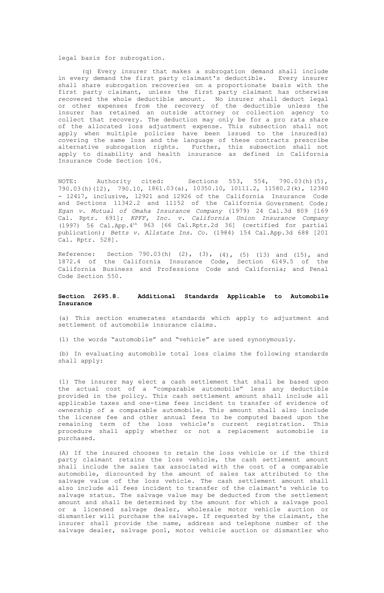legal basis for subrogation.

(q) Every insurer that makes a subrogation demand shall include in every demand the first party claimant's deductible. Every insurer shall share subrogation recoveries on a proportionate basis with the first party claimant, unless the first party claimant has otherwise recovered the whole deductible amount. No insurer shall deduct legal or other expenses from the recovery of the deductible unless the insurer has retained an outside attorney or collection agency to collect that recovery. The deduction may only be for a pro rata share of the allocated loss adjustment expense. This subsection shall not apply when multiple policies have been issued to the insured(s) covering the same loss and the language of these contracts prescribe alternative subrogation rights. Further, this subsection shall not apply to disability and health insurance as defined in California Insurance Code Section 106.

NOTE: Authority cited: Sections 553, 554, 790.03(h)(5), 790.03(h)(12), 790.10, 1861.03(a), 10350.10, 10111.2, 11580.2(k), 12340 - 12417, inclusive, 12921 and 12926 of the California Insurance Code and Sections 11342.2 and 11152 of the California Government Code**;** *Egan v. Mutual of Omaha Insurance Company* (1979) 24 Cal.3d 809 [169 Cal. Rptr. 691]; *KPFF, Inc. v. California Union Insurance Company* (1997) 56 Cal.App.4th 963 [66 Cal.Rptr.2d 36] (certified for partial publication); *Betts v. Allstate Ins. Co.* (1984) 154 Cal.App.3d 688 [201 Cal. Rptr. 528].

Reference: Section 790.03(h) (2), (3), (4), (5) (13) and (15), and 1872.4 of the California Insurance Code**,** Section 6149.5 of the California Business and Professions Code and California; and Penal Code Section 550.

## **Section 2695.8. Additional Standards Applicable to Automobile Insurance**

(a) This section enumerates standards which apply to adjustment and settlement of automobile insurance claims.

(1) the words "automobile" and "vehicle" are used synonymously.

(b) In evaluating automobile total loss claims the following standards shall apply:

(1) The insurer may elect a cash settlement that shall be based upon the actual cost of a "comparable automobile" less any deductible<br>provided in the policy. This cash settlement amount shall include all<br>applicable taxes and one-time fees incident to transfer of evidence of ownership of a comparable automobile. This amount shall also include the license fee and other annual fees to be computed based upon the remaining term of the loss vehicle's current registration. This procedure shall apply whether or not a replacement automobile is purchased.

(A) If the insured chooses to retain the loss vehicle or if the third party claimant retains the loss vehicle, the cash settlement amount shall include the sales tax associated with the cost of a comparable automobile, discounted by the amount of sales tax attributed to the salvage value of the loss vehicle. The cash settlement amount shall also include all fees incident to transfer of the claimant's vehicle to salvage status. The salvage value may be deducted from the settlement amount and shall be determined by the amount for which a salvage pool or a licensed salvage dealer, wholesale motor vehicle auction or dismantler will purchase the salvage. If requested by the claimant, the insurer shall provide the name, address and telephone number of the salvage dealer, salvage pool, motor vehicle auction or dismantler who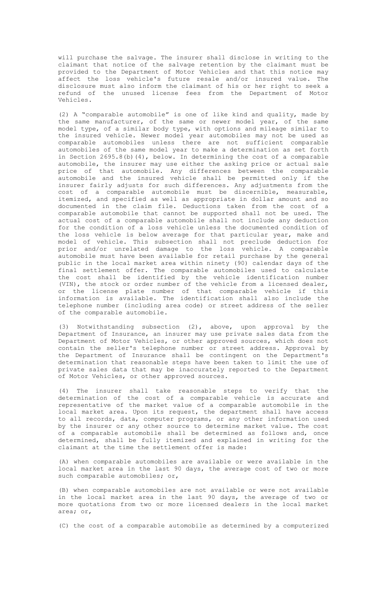will purchase the salvage. The insurer shall disclose in writing to the claimant that notice of the salvage retention by the claimant must be provided to the Department of Motor Vehicles and that this notice may affect the loss vehicle's future resale and/or insured value. The disclosure must also inform the claimant of his or her right to seek a refund of the unused license fees from the Department of Motor Vehicles.

(2) A "comparable automobile" is one of like kind and quality, made by the same manufacturer, of the same or newer model year, of the same model type, of a similar body type, with options and mileage similar to the insured vehicle. Newer model year automobiles may not be used as comparable automobiles unless there are not sufficient comparable automobiles of the same model year to make a determination as set forth in Section 2695.8(b)(4), below. In determining the cost of a comparable automobile, the insurer may use either the asking price or actual sale price of that automobile. Any differences between the comparable automobile and the insured vehicle shall be permitted only if the insurer fairly adjusts for such differences. Any adjustments from the cost of a comparable automobile must be discernible, measurable, itemized, and specified as well as appropriate in dollar amount and so documented in the claim file. Deductions taken from the cost of a comparable automobile that cannot be supported shall not be used. The actual cost of a comparable automobile shall not include any deduction for the condition of a loss vehicle unless the documented condition of the loss vehicle is below average for that particular year, make and<br>model of vehicle. This subsection shall not preclude deduction for<br>prior and/or unrelated damage to the loss vehicle. A comparable<br>automobile must have b public in the local market area within ninety (90) calendar days of the final settlement offer. The comparable automobiles used to calculate the cost shall be identified by the vehicle identification number (VIN), the stock or order number of the vehicle from a licensed dealer, or the license plate number of that comparable vehicle if this information is available. The identification shall also include the telephone number (including area code) or street address of the seller of the comparable automobile.

(3) Notwithstanding subsection (2), above, upon approval by the Department of Insurance, an insurer may use private sales data from the Department of Motor Vehicles, or other approved sources, which does not contain the seller's telephone number or street address. Approval by the Department of Insurance shall be contingent on the Department's determination that reasonable steps have been taken to limit the use of private sales data that may be inaccurately reported to the Department of Motor Vehicles, or other approved sources.

(4) The insurer shall take reasonable steps to verify that the determination of the cost of a comparable vehicle is accurate and representative of the market value of a comparable automobile in the local market area. Upon its request, the department shall have access to all records, data, computer programs, or any other information used by the insurer or any other source to determine market value. The cost of a comparable automobile shall be determined as follows and, once determined, shall be fully itemized and explained in writing for the claimant at the time the settlement offer is made:

(A) when comparable automobiles are available or were available in the local market area in the last 90 days, the average cost of two or more such comparable automobiles; or,

(B) when comparable automobiles are not available or were not available in the local market area in the last 90 days, the average of two or more quotations from two or more licensed dealers in the local market area; or,

(C) the cost of a comparable automobile as determined by a computerized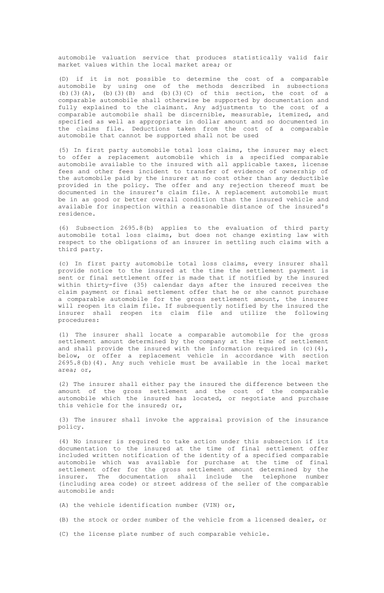automobile valuation service that produces statistically valid fair market values within the local market area; or

(D) if it is not possible to determine the cost of a comparable automobile by using one of the methods described in subsections (b)(3)(A),  $(b)$ (3)(B) and (b)(3)(C) of this section, the cost of a comparable automobile shall otherwise be supported by documentation and fully explained to the claimant. Any adjustments to the cost of a comparable automobile shall be discernible, measurable, itemized, and specified as well as appropriate in dollar amount and so documented in the claims file. Deductions taken from the cost of a comparable automobile that cannot be supported shall not be used

(5) In first party automobile total loss claims, the insurer may elect to offer a replacement automobile which is a specified comparable automobile available to the insured with all applicable taxes, license fees and other fees incident to transfer of evidence of ownership of the automobile paid by the insurer at no cost other than any deductible provided in the policy. The offer and any rejection thereof must be documented in the insurer's claim file. A replacement automobile must be in as good or better overall condition than the insured vehicle and available for inspection within a reasonable distance of the insured's residence.

(6) Subsection 2695.8(b) applies to the evaluation of third party automobile total loss claims, but does not change existing law with respect to the obligations of an insurer in settling such claims with a third party.

(c) In first party automobile total loss claims, every insurer shall provide notice to the insured at the time the settlement payment is sent or final settlement offer is made that if notified by the insured within thirty-five (35) calendar days after the insured receives the claim payment or final settlement offer that he or she cannot purchase a comparable automobile for the gross settlement amount, the insurer will reopen its claim file. If subsequently notified by the insured the insurer shall reopen its claim file and utilize the following procedures:

(1) The insurer shall locate a comparable automobile for the gross settlement amount determined by the company at the time of settlement and shall provide the insured with the information required in  $(c)$  (4), below, or offer a replacement vehicle in accordance with section 2695.8(b)(4). Any such vehicle must be available in the local market area; or,

(2) The insurer shall either pay the insured the difference between the amount of the gross settlement and the cost of the comparable automobile which the insured has located, or negotiate and purchase this vehicle for the insured; or,

(3) The insurer shall invoke the appraisal provision of the insurance policy.

(4) No insurer is required to take action under this subsection if its documentation to the insured at the time of final settlement offer included written notification of the identity of a specified comparable automobile which was available for purchase at the time of final settlement offer for the gross settlement amount determined by the insurer. The documentation shall include the telephone number (including area code) or street address of the seller of the comparable automobile and:

(A) the vehicle identification number (VIN) or,

(B) the stock or order number of the vehicle from a licensed dealer, or

(C) the license plate number of such comparable vehicle.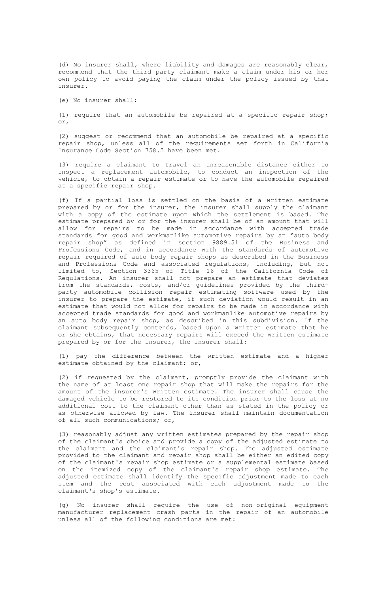(d) No insurer shall, where liability and damages are reasonably clear, recommend that the third party claimant make a claim under his or her own policy to avoid paying the claim under the policy issued by that insurer.

(e) No insurer shall:

(1) require that an automobile be repaired at a specific repair shop; or,

(2) suggest or recommend that an automobile be repaired at a specific repair shop, unless all of the requirements set forth in California Insurance Code Section 758.5 have been met.

(3) require a claimant to travel an unreasonable distance either to inspect a replacement automobile, to conduct an inspection of the vehicle, to obtain a repair estimate or to have the automobile repaired at a specific repair shop.

(f) If a partial loss is settled on the basis of a written estimate prepared by or for the insurer, the insurer shall supply the claimant with a copy of the estimate upon which the settlement is based. The estimate prepared by or for the insurer shall be of an amount that will allow for repairs to be made in accordance with accepted trade standards for good and workmanlike automotive repairs by an "auto body repair shop" as defined in section 9889.51 of the Business and Professions Code, and in accordance with the standards of automotive repair required of auto body repair shops as described in the Business and Professions Code and associated regulations, including, but not limited to, Section 3365 of Title 16 of the California Code of Regulations. An insurer shall not prepare an estimate that deviates from the standards, costs, and/or guidelines provided by the third-party automobile collision repair estimating software used by the insurer to prepare the estimate, if such deviation would result in an estimate that would not allow for repairs to be made in accordance with accepted trade standards for good and workmanlike automotive repairs by an auto body repair shop, as described in this subdivision. If the claimant subsequently contends, based upon a written estimate that he or she obtains, that necessary repairs will exceed the written estimate prepared by or for the insurer, the insurer shall:

(1) pay the difference between the written estimate and a higher estimate obtained by the claimant; or,

(2) if requested by the claimant, promptly provide the claimant with the name of at least one repair shop that will make the repairs for the amount of the insurer's written estimate. The insurer shall cause the damaged vehicle to be restored to its condition prior to the loss at no additional cost to the claimant other than as stated in the policy or as otherwise allowed by law. The insurer shall maintain documentation of all such communications; or,

(3) reasonably adjust any written estimates prepared by the repair shop of the claimant's choice and provide a copy of the adjusted estimate to the claimant and the claimant's repair shop. The adjusted estimate provided to the claimant and repair shop shall be either an edited copy of the claimant's repair shop estimate or a supplemental estimate based on the itemized copy of the claimant's repair shop estimate. The adjusted estimate shall identify the specific adjustment made to each item and the cost associated with each adjustment made to the claimant's shop's estimate.

(g) No insurer shall require the use of non-original equipment manufacturer replacement crash parts in the repair of an automobile unless all of the following conditions are met: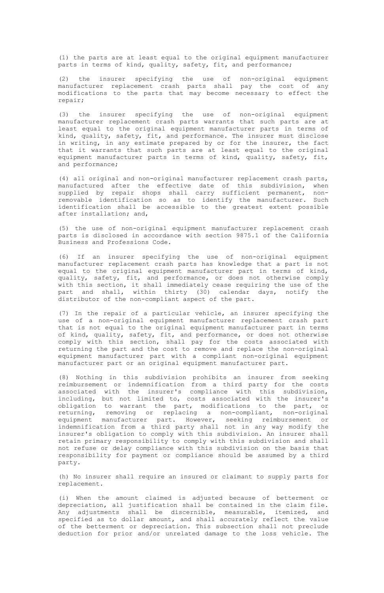(1) the parts are at least equal to the original equipment manufacturer parts in terms of kind, quality, safety, fit, and performance;

(2) the insurer specifying the use of non-original equipment manufacturer replacement crash parts shall pay the cost of any modifications to the parts that may become necessary to effect the repair;

(3) the insurer specifying the use of non-original equipment manufacturer replacement crash parts warrants that such parts are at least equal to the original equipment manufacturer parts in terms of kind, quality, safety, fit, and performance. The insurer must disclose in writing, in any estimate prepared by or for the insurer, the fact that it warrants that such parts are at least equal to the original equipment manufacturer parts in terms of kind, quality, safety, fit, and performance;

(4) all original and non-original manufacturer replacement crash parts, manufactured after the effective date of this subdivision, when supplied by repair shops shall carry sufficient permanent, nonremovable identification so as to identify the manufacturer. Such identification shall be accessible to the greatest extent possible after installation; and,

(5) the use of non-original equipment manufacturer replacement crash parts is disclosed in accordance with section 9875.1 of the California Business and Professions Code.

(6) If an insurer specifying the use of non-original equipment manufacturer replacement crash parts has knowledge that a part is not equal to the original equipment manufacturer part in terms of kind, quality, safety, fit, and performance, or does not otherwise comply with this section, it shall immediately cease requiring the use of the part and shall, within thirty (30) calendar days, notify the within thirty (30) calendar days, notify the distributor of the non-compliant aspect of the part.

(7) In the repair of a particular vehicle, an insurer specifying the use of a non-original equipment manufacturer replacement crash part that is not equal to the original equipment manufacturer part in terms of kind, quality, safety, fit, and performance, or does not otherwise comply with this section, shall pay for the costs associated with returning the part and the cost to remove and replace the non-original equipment manufacturer part with a compliant non-original equipment manufacturer part or an original equipment manufacturer part.

(8) Nothing in this subdivision prohibits an insurer from seeking reimbursement or indemnification from a third party for the costs associated with the insurer's compliance with this subdivision, including, but not limited to, costs associated with the insurer's obligation to warrant the part, modifications to the part, or returning, removing or replacing a non-compliant, non-original equipment manufacturer part. However, seeking reimbursement or<br>indemnification from a third party shall not in any way modify the<br>insurer's obligation to comply with this subdivision.An insurer shall retain primary responsibility to comply with this subdivision and shall not refuse or delay compliance with this subdivision on the basis that responsibility for payment or compliance should be assumed by a third party.

(h) No insurer shall require an insured or claimant to supply parts for replacement.

(i) When the amount claimed is adjusted because of betterment or depreciation, all justification shall be contained in the claim file. Any adjustments shall be discernible, measurable, itemized, and specified as to dollar amount, and shall accurately reflect the value of the betterment or depreciation. This subsection shall not preclude deduction for prior and/or unrelated damage to the loss vehicle. The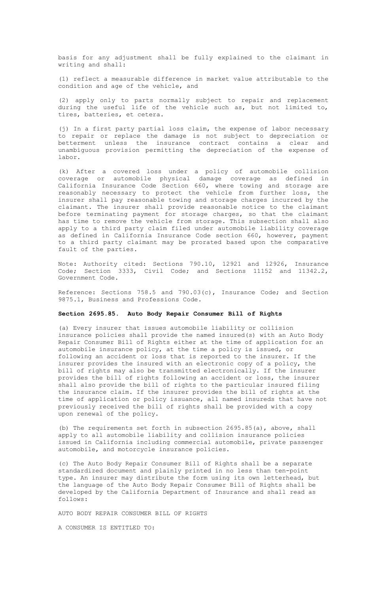basis for any adjustment shall be fully explained to the claimant in writing and shall:

(1) reflect a measurable difference in market value attributable to the condition and age of the vehicle, and

(2) apply only to parts normally subject to repair and replacement during the useful life of the vehicle such as, but not limited to, tires, batteries, et cetera.

(j) In a first party partial loss claim, the expense of labor necessary to repair or replace the damage is not subject to depreciation or betterment unless the insurance contract contains a clear and unambiguous provision permitting the depreciation of the expense of labor.

(k) After a covered loss under a policy of automobile collision coverage or automobile physical damage coverage as defined in California Insurance Code Section 660, where towing and storage are reasonably necessary to protect the vehicle from further loss, the insurer shall pay reasonable towing and storage charges incurred by the claimant. The insurer shall provide reasonable notice to the claimant before terminating payment for storage charges, so that the claimant has time to remove the vehicle from storage. This subsection shall also apply to a third party claim filed under automobile liability coverage as defined in California Insurance Code section 660, however, payment to a third party claimant may be prorated based upon the comparative fault of the parties.

Note: Authority cited: Sections 790.10, 12921 and 12926, Insurance Code; Section 3333, Civil Code; and Sections 11152 and 11342.2, Government Code.

Reference: Sections 758.5 and 790.03(c), Insurance Code; and Section 9875.1, Business and Professions Code.

### **Section 2695.85. Auto Body Repair Consumer Bill of Rights**

(a) Every insurer that issues automobile liability or collision insurance policies shall provide the named insured(s) with an Auto Body Repair Consumer Bill of Rights either at the time of application for an automobile insurance policy, at the time a policy is issued, or following an accident or loss that is reported to the insurer. If the insurer provides the insured with an electronic copy of a policy, the bill of rights may also be transmitted electronically. If the insurer provides the bill of rights following an accident or loss, the insurer shall also provide the bill of rights to the particular insured filing the insurance claim. If the insurer provides the bill of rights at the time of application or policy issuance, all named insureds that have not previously received the bill of rights shall be provided with a copy upon renewal of the policy.

(b) The requirements set forth in subsection 2695.85(a), above, shall apply to all automobile liability and collision insurance policies issued in California including commercial automobile, private passenger automobile, and motorcycle insurance policies.

(c) The Auto Body Repair Consumer Bill of Rights shall be a separate standardized document and plainly printed in no less than ten-point type. An insurer may distribute the form using its own letterhead, but the language of the Auto Body Repair Consumer Bill of Rights shall be developed by the California Department of Insurance and shall read as follows:

AUTO BODY REPAIR CONSUMER BILL OF RIGHTS

A CONSUMER IS ENTITLED TO: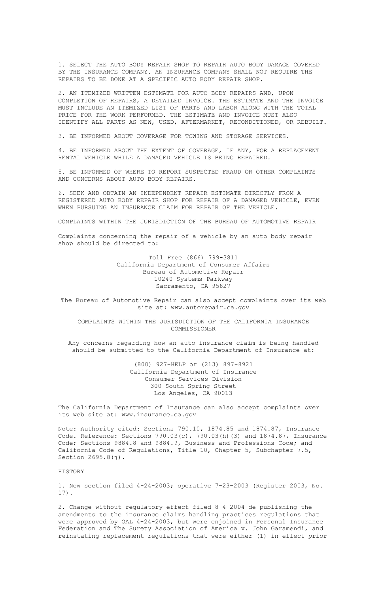1. SELECT THE AUTO BODY REPAIR SHOP TO REPAIR AUTO BODY DAMAGE COVERED BY THE INSURANCE COMPANY. AN INSURANCE COMPANY SHALL NOT REQUIRE THE REPAIRS TO BE DONE AT A SPECIFIC AUTO BODY REPAIR SHOP.

2. AN ITEMIZED WRITTEN ESTIMATE FOR AUTO BODY REPAIRS AND, UPON COMPLETION OF REPAIRS, A DETAILED INVOICE. THE ESTIMATE AND THE INVOICE MUST INCLUDE AN ITEMIZED LIST OF PARTS AND LABOR ALONG WITH THE TOTAL PRICE FOR THE WORK PERFORMED. THE ESTIMATE AND INVOICE MUST ALSO IDENTIFY ALL PARTS AS NEW, USED, AFTERMARKET, RECONDITIONED, OR REBUILT.

3. BE INFORMED ABOUT COVERAGE FOR TOWING AND STORAGE SERVICES.

4. BE INFORMED ABOUT THE EXTENT OF COVERAGE, IF ANY, FOR A REPLACEMENT RENTAL VEHICLE WHILE A DAMAGED VEHICLE IS BEING REPAIRED.

5. BE INFORMED OF WHERE TO REPORT SUSPECTED FRAUD OR OTHER COMPLAINTS AND CONCERNS ABOUT AUTO BODY REPAIRS.

6. SEEK AND OBTAIN AN INDEPENDENT REPAIR ESTIMATE DIRECTLY FROM A REGISTERED AUTO BODY REPAIR SHOP FOR REPAIR OF A DAMAGED VEHICLE, EVEN WHEN PURSUING AN INSURANCE CLAIM FOR REPAIR OF THE VEHICLE.

COMPLAINTS WITHIN THE JURISDICTION OF THE BUREAU OF AUTOMOTIVE REPAIR

Complaints concerning the repair of a vehicle by an auto body repair shop should be directed to:

> Toll Free (866) 799-3811 California Department of Consumer Affairs Bureau of Automotive Repair 10240 Systems Parkway Sacramento, CA 95827

The Bureau of Automotive Repair can also accept complaints over its web site at: www.autorepair.ca.gov

COMPLAINTS WITHIN THE JURISDICTION OF THE CALIFORNIA INSURANCE COMMISSIONER

Any concerns regarding how an auto insurance claim is being handled should be submitted to the California Department of Insurance at:

> (800) 927-HELP or (213) 897-8921 California Department of Insurance Consumer Services Division 300 South Spring Street Los Angeles, CA 90013

The California Department of Insurance can also accept complaints over its web site at: www.insurance.ca.gov

Note: Authority cited: Sections 790.10, 1874.85 and 1874.87, Insurance Code. Reference: Sections 790.03(c), 790.03(h)(3) and 1874.87, Insurance Code; Sections 9884.8 and 9884.9, Business and Professions Code; and California Code of Regulations, Title 10, Chapter 5, Subchapter 7.5, Section 2695.8(j).

#### **HISTORY**

1. New section filed 4-24-2003; operative 7-23-2003 (Register 2003, No. 17).

2. Change without regulatory effect filed 8-4-2004 de-publishing the amendments to the insurance claims handling practices regulations that were approved by OAL 4-24-2003, but were enjoined in Personal Insurance Federation and The Surety Association of America v. John Garamendi, and reinstating replacement regulations that were either (1) in effect prior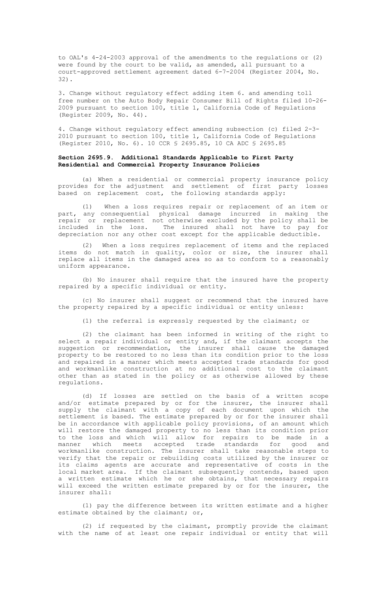to OAL's 4-24-2003 approval of the amendments to the regulations or (2) were found by the court to be valid, as amended, all pursuant to a court-approved settlement agreement dated 6-7-2004 (Register 2004, No. 32).

3. Change without regulatory effect adding item 6. and amending toll free number on the Auto Body Repair Consumer Bill of Rights filed 10-26- 2009 pursuant to section 100, title 1, California Code of Regulations (Register 2009, No. 44).

4. Change without regulatory effect amending subsection (c) filed 2-3- 2010 pursuant to section 100, title 1, California Code of Regulations (Register 2010, No. 6). 10 CCR § 2695.85, 10 CA ADC § 2695.85

### **Section 2695.9. Additional Standards Applicable to First Party Residential and Commercial Property Insurance Policies**

(a) When a residential or commercial property insurance policy provides for the adjustment and settlement of first party losses based on replacement cost, the following standards apply:

(1) When a loss requires repair or replacement of an item or part, any consequential physical damage incurred in making the repair or replacement not otherwise excluded by the policy shall be included in the loss. The insured shall not have to pay for depreciation nor any other cost except for the applicable deductible.

(2) When a loss requires replacement of items and the replaced items do not match in quality, color or size, the insurer shall replace all items in the damaged area so as to conform to a reasonably uniform appearance.

(b) No insurer shall require that the insured have the property repaired by a specific individual or entity.

(c) No insurer shall suggest or recommend that the insured have the property repaired by a specific individual or entity unless:

(1) the referral is expressly requested by the claimant; or

(2) the claimant has been informed in writing of the right to select a repair individual or entity and, if the claimant accepts the suggestion or recommendation, the insurer shall cause the damaged property to be restored to no less than its condition prior to the loss and repaired in a manner which meets accepted trade standards for good and workmanlike construction at no additional cost to the claimant other than as stated in the policy or as otherwise allowed by these regulations.

(d) If losses are settled on the basis of a written scope and/or estimate prepared by or for the insurer, the insurer shall supply the claimant with a copy of each document upon which the settlement is based. The estimate prepared by or for the insurer shall be in accordance with applicable policy provisions, of an amount which will restore the damaged property to no less than its condition prior to the loss and which will allow for repairs to be made in a manner which meets accepted trade standards for good and workmanlike construction. The insurer shall take reasonable steps to verify that the repair or rebuilding costs utilized by the insurer or its claims agents are accurate and representative of costs in the local market area. If the claimant subsequently contends, based upon a written estimate which he or she obtains, that necessary repairs will exceed the written estimate prepared by or for the insurer, the insurer shall:

(1) pay the difference between its written estimate and a higher estimate obtained by the claimant; or,

(2) if requested by the claimant, promptly provide the claimant with the name of at least one repair individual or entity that will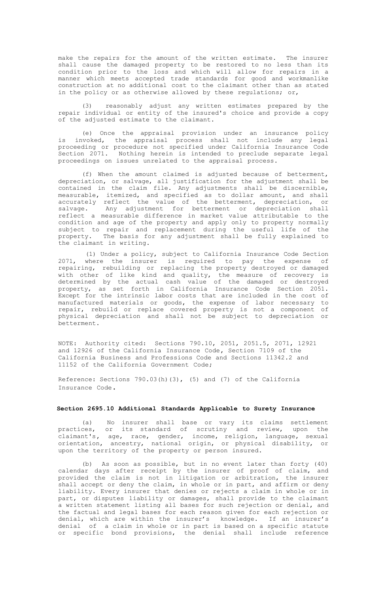make the repairs for the amount of the written estimate. The insurer shall cause the damaged property to be restored to no less than its condition prior to the loss and which will allow for repairs in a manner which meets accepted trade standards for good and workmanlike construction at no additional cost to the claimant other than as stated in the policy or as otherwise allowed by these regulations; or,

(3) reasonably adjust any written estimates prepared by the repair individual or entity of the insured's choice and provide a copy of the adjusted estimate to the claimant.

(e) Once the appraisal provision under an insurance policy is invoked, the appraisal process shall not include any legal proceeding or procedure not specified under California Insurance Code<br>Section 2071. Nothing herein is intended to preclude separate legal<br>proceedings on issues unrelated to the appraisal process.

(f) When the amount claimed is adjusted because of betterment, depreciation, or salvage, all justification for the adjustment shall be contained in the claim file. Any adjustments shall be discernible, measurable, itemized, and specified as to dollar amount, and shall accurately reflect the value of the betterment, depreciation, or salvage. Any adjustment for betterment or depreciation shall reflect a measurable difference in market value attributable to the condition and age of the property and apply only to property normally subject to repair and replacement during the useful life of the property. The basis for any adjustment shall be fully explained to the claimant in writing.

(1) Under a policy, subject to California Insurance Code Section 2071, where the insurer is required to pay the expense of<br>repairing, rebuilding or replacing the property destroyed or damaged<br>with other of like kind and quality, the measure of recovery is<br>determined by the actual cash v manufactured materials or goods, the expense of labor necessary to repair, rebuild or replace covered property is not a component of physical depreciation and shall not be subject to depreciation or betterment.

NOTE: Authority cited: Sections 790.10, 2051, 2051.5, 2071, 12921 and 12926 of the California Insurance Code**,** Section 7109 of the California Business and Professions Code and Sections 11342.2 and 11152 of the California Government Code**;**

Reference: Sections 790.03(h)(3), (5) and (7) of the California Insurance Code.

#### **Section 2695.10 Additional Standards Applicable to Surety Insurance**

(a) No insurer shall base or vary its claims settlement practices, or its standard of scrutiny and review, upon the claimant's**,** age, race, gender, income, religion, language, sexual orientation, ancestry, national origin, or physical disability, or upon the territory of the property or person insured.

(b) As soon as possible, but in no event later than forty (40) calendar days after receipt by the insurer of proof of claim, and provided the claim is not in litigation or arbitration, the insurer shall accept or deny the claim, in whole or in part, and affirm or deny liability. Every insurer that denies or rejects a claim in whole or in part, or disputes liability or damages, shall provide to the claimant a written statement listing all bases for such rejection or denial, and the factual and legal bases for each reason given for each rejection or denial, which are within the insurer's knowledge. If an insurer's denial of a claim in whole or in part is based on a specific statute or specific bond provisions, the denial shall include reference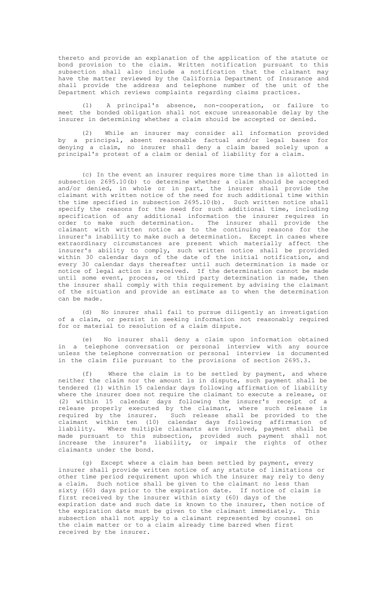thereto and provide an explanation of the application of the statute or bond provision to the claim. Written notification pursuant to this subsection shall also include a notification that the claimant may have the matter reviewed by the California Department of Insurance and shall provide the address and telephone number of the unit of the Department which reviews complaints regarding claims practices.

(1) A principal's absence, non-cooperation, or failure to meet the bonded obligation shall not excuse unreasonable delay by the insurer in determining whether a claim should be accepted or denied.

(2) While an insurer may consider all information provided by a principal**,** absent reasonable factual and/or legal bases for denying a claim, no insurer shall deny a claim based solely upon a principal's protest of a claim or denial of liability for a claim.

(c) In the event an insurer requires more time than is allotted in subsection 2695.10(b) to determine whether a claim should be accepted and/or denied, in whole or in part, the insurer shall provide the claimant with written notice of the need for such additional time within the time specified in subsection  $2695.10(b)$ . Such written notice shall specify the reasons for the need for such additional time, including specify the reasons for the need for such additional time, including<br>specification of any additional information the insurer requires in<br>order to make such determination. The insurer shall provide the<br>claimant with written extraordinary circumstances are present which materially affect the insurer's ability to comply, such written notice shall be provided within 30 calendar days of the date of the initial notification, and every 30 calendar days thereafter until such determination is made or notice of legal action is received. If the determination cannot be made until some event, process, or third party determination is made, then the insurer shall comply with this requirement by advising the claimant of the situation and provide an estimate as to when the determination can be made.

(d) No insurer shall fail to pursue diligently an investigation of a claim, or persist in seeking information not reasonably required for or material to resolution of a claim dispute.

No insurer shall deny a claim upon information obtained in a telephone conversation or personal interview with any source unless the telephone conversation or personal interview is documented in the claim file pursuant to the provisions of section 2695.3.

(f) Where the claim is to be settled by payment, and where neither the claim nor the amount is in dispute, such payment shall be tendered (1) within 15 calendar days following affirmation of liability where the insurer does not require the claimant to execute a release, or (2) within 15 calendar days following the insurer's receipt of a release properly executed by the claimant, where such release is required by the insurer. Such release shall be provided to the claimant within ten (10) calendar days following affirmation of liability. Where multiple claimants are involved, payment shall be made pursuant to this subsection, provided such payment shall not increase the insurer's liability, or impair the rights of other claimants under the bond.

(g) Except where a claim has been settled by payment, every insurer shall provide written notice of any statute of limitations or other time period requirement upon which the insurer may rely to deny a claim. Such notice shall be given to the claimant no less than sixty (60) days prior to the expiration date. If notice of claim is first received by the insurer within sixty (60) days of the expiration date and such date is known to the insurer, then notice of the expiration date must be given to the claimant immediately. This subsection shall not apply to a claimant represented by counsel on the claim matter or to a claim already time barred when first received by the insurer.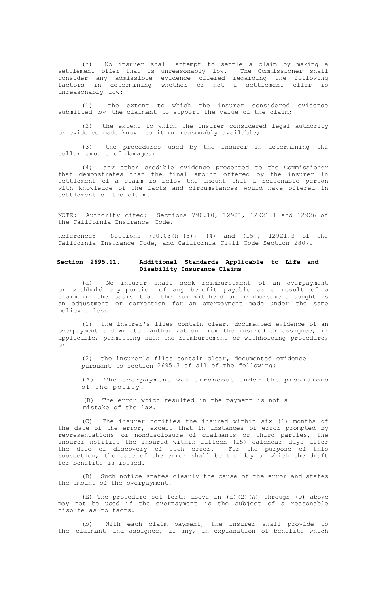(h) No insurer shall attempt to settle a claim by making a<br>settlement offer that is unreasonably low. The Commissioner shall<br>consider any admissible evidence offered regarding the following<br>factors in determining whether o unreasonably low:

(1) the extent to which the insurer considered evidence submitted by the claimant to support the value of the claim;

(2) the extent to which the insurer considered legal authority or evidence made known to it or reasonably available;

(3) the procedures used by the insurer in determining the dollar amount of damages;

(4) any other credible evidence presented to the Commissioner that demonstrates that the final amount offered by the insurer in settlement of a claim is below the amount that a reasonable person with knowledge of the facts and circumstances would have offered in settlement of the claim.

NOTE: Authority cited: Sections 790.10, 12921, 12921.1 and 12926 of the California Insurance Code.

Reference: Sections 790.03(h)(3), (4) and (15), 12921.3 of the California Insurance Code, and California Civil Code Section 2807.

### **Section 2695.11. Additional Standards Applicable to Life and Disability Insurance Claims**

(a) No insurer shall seek reimbursement of an overpayment or withhold any portion of any benefit payable as a result of a claim on the basis that the sum withheld or reimbursement sought is an adjustment or correction for an overpayment made under the same policy unless:

(1) the insurer's files contain clear, documented evidence of an overpayment and written authorization from the insured or assignee, if applicable, permitting such the reimbursement or withholding procedure, or

(2) the insurer's files contain clear, documented evidence pursuant to section 2695.3 of all of the following:

(A) The overpayment was erroneous under the provisions of the policy.

(B) The error which resulted in the payment is not a mistake of the law.

(C) The insurer notifies the insured within six (6) months of the date of the error, except that in instances of error prompted by representations or nondisclosure of claimants or third parties, the insurer notifies the insured within fifteen (15) calendar days after the date of discovery of such error. For the purpose of this subsection, the date of the error shall be the day on which the draft for benefits is issued.

(D) Such notice states clearly the cause of the error and states the amount of the overpayment.

(E) The procedure set forth above in (a)(2)(A) through (D) above may not be used if the overpayment is the subject of a reasonable dispute as to facts.

(b) With each claim payment, the insurer shall provide to the claimant and assignee, if any, an explanation of benefits which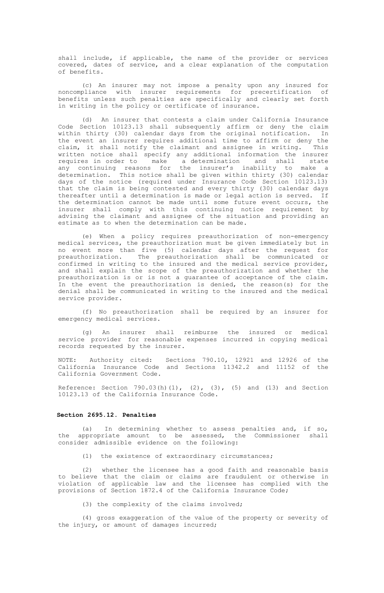shall include, if applicable, the name of the provider or services covered, dates of service, and a clear explanation of the computation of benefits.

(c) An insurer may not impose a penalty upon any insured for noncompliance with insurer requirements for precertification of benefits unless such penalties are specifically and clearly set forth in writing in the policy or certificate of insurance.

(d) An insurer that contests a claim under California Insurance Code Section 10123.13 shall subsequently affirm or deny the claim within thirty (30) calendar days from the original notification. In the event an insurer requires additional time to affirm or deny the claim, it shall notify the claimant and assignee in writing. This written notice shall specify any additional information the insurer requires in order to make a determination and shall state any continuing reasons for the insurer's inability to make a determination. This notice shall be given within thirty (30) calendar days of the notice (required under Insurance Code Section 10123.13) that the claim is being contested and every thirty (30) calendar days thereafter until a determination is made or legal action is served. If the determination cannot be made until some future event occurs, the insurer shall comply with this continuing notice requirement by advising the claimant and assignee of the situation and providing an estimate as to when the determination can be made.

(e) When a policy requires preauthorization of non-emergency medical services, the preauthorization must be given immediately but in no event more than five (5) calendar days after the request for preauthorization. The preauthorization shall be communicated or confirmed in writing to the insured and the medical service provider, and shall explain the scope of the preauthorization and whether the preauthorization is or is not a guarantee of acceptance of the claim. In the event the preauthorization is denied, the reason(s) for the denial shall be communicated in writing to the insured and the medical service provider.

(f) No preauthorization shall be required by an insurer for emergency medical services.

(g) An insurer shall reimburse the insured or medical service provider for reasonable expenses incurred in copying medical records requested by the insurer.

NOTE: Authority cited: Sections 790.10, 12921 and 12926 of the California Insurance Code and Sections 11342.2 and 11152 of the California Government Code.

Reference: Section  $790.03(h)(1)$ ,  $(2)$ ,  $(3)$ ,  $(5)$  and  $(13)$  and Section 10123.13 of the California Insurance Code.

#### **Section 2695.12. Penalties**

(a) In determining whether to assess penalties and, if so, the appropriate amount to be assessed, the Commissioner shall consider admissible evidence on the following:

(1) the existence of extraordinary circumstances;

(2) whether the licensee has a good faith and reasonable basis to believe that the claim or claims are fraudulent or otherwise in violation of applicable law and the licensee has complied with the provisions of Section 1872.4 of the California Insurance Code;

(3) the complexity of the claims involved;

(4) gross exaggeration of the value of the property or severity of the injury, or amount of damages incurred;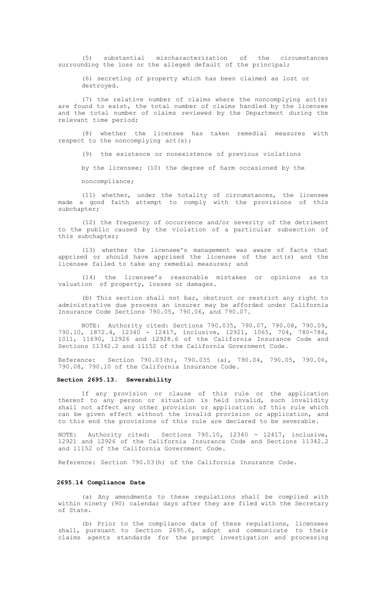(5) substantial mischaracterization of the circumstances surrounding the loss or the alleged default of the principal;

(6) secreting of property which has been claimed as lost or destroyed.

(7) the relative number of claims where the noncomplying act(s) are found to exist, the total number of claims handled by the licensee and the total number of claims reviewed by the Department during the relevant time period;

(8) whether the licensee has taken remedial measures with respect to the noncomplying act(s);

(9) the existence or nonexistence of previous violations

by the licensee; (10) the degree of harm occasioned by the

noncompliance;

(11) whether, under the totality of circumstances, the licensee made a good faith attempt to comply with the provisions of this subchapter;

(12) the frequency of occurrence and/or severity of the detriment to the public caused by the violation of a particular subsection of this subchapter;

(13) whether the licensee's management was aware of facts that apprised or should have apprised the licensee of the act(s) and the licensee failed to take any remedial measures; and

(14) the licensee's reasonable mistakes or opinions as to valuation of property, losses or damages.

(b) This section shall not bar, obstruct or restrict any right to administrative due process an insurer may be afforded under California Insurance Code Sections 790.05, 790.06, and 790.07.

NOTE: Authority cited: Sections 790.035, 790.07, 790.08, 790.09, 790.10, 1872.4, 12340 - 12417, inclusive, 12921, 1065, 704, 780-784, 1011, 11690, 12926 and 12928.6 of the California Insurance Code and Sections 11342.2 and 11152 of the California Government Code.

Reference: Section 790.03(h), 790.035 (a), 790.04, 790.05, 790.06, 790.08, 790.10 of the California Insurance Code.

#### **Section 2695.13. Severability**

If any provision or clause of this rule or the application thereof to any person or situation is held invalid, such invalidity<br>shall not affect any other provision or application of this rule which<br>can be given effect without the invalid provision or application, and to this end the provisions of this rule are declared to be severable.

NOTE: Authority cited: Sections 790.10, 12340 - 12417, inclusive, 12921 and 12926 of the California Insurance Code and Sections 11342.2 and 11152 of the California Government Code.

Reference: Section 790.03(h) of the California Insurance Code.

#### **2695.14 Compliance Date**

(a) Any amendments to these regulations shall be complied with within ninety (90) calendar days after they are filed with the Secretary of State.

(b) Prior to the compliance date of these regulations, licensees shall, pursuant to Section 2695.6, adopt and communicate to their claims agents standards for the prompt investigation and processing